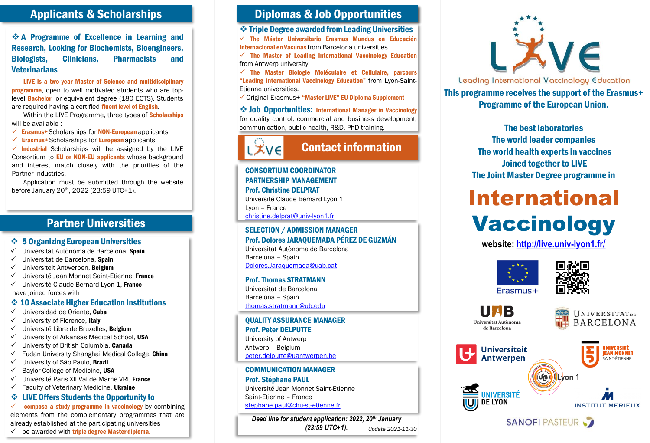### Applicants & Scholarships

 A Programme of Excellence in Learning and Research, Looking for Biochemists, Bioengineers, Biologists, Clinicians, Pharmacists and **Veterinarians** 

LIVE is a two year Master of Science and multidisciplinary **programme**, open to well motivated students who are toplevel **Bachelor** or equivalent degree (180 ECTS). Students are required having a certified fluent level of English.

Within the LIVE Programme, three types of **Scholarships** will be available :

 $\checkmark$  Erasmus+ Scholarships for NON-European applicants

 $\checkmark$  Erasmus+ Scholarships for European applicants

 $\checkmark$  Industrial Scholarships will be assigned by the LIVE Consortium to EU or NON-EU applicants whose background and interest match closely with the priorities of the Partner Industries.

Application must be submitted through the website before January 20th , 2022 (23:59 UTC+1).

# Partner Universities

#### **❖ 5 Organizing European Universities**

- Universitat Autònoma de Barcelona, Spain
- Universitat de Barcelona, Spain
- $\checkmark$  Universiteit Antwerpen, Belgium
- $\checkmark$  Université Jean Monnet Saint-Etienne. France
- $\checkmark$  Université Claude Bernard Lyon 1, France have joined forces with

#### **↓ 10 Associate Higher Education Institutions**

- $\checkmark$  Universidad de Oriente. Cuba
- $\checkmark$  University of Florence, Italy
- $\checkmark$  Université Libre de Bruxelles, Belgium
- University of Arkansas Medical School, USA
- $\checkmark$  University of British Columbia, Canada
- $\checkmark$  Fudan University Shanghai Medical College, China
- $\checkmark$  University of São Paulo, Brazil
- $\checkmark$  Baylor College of Medicine, USA
- Université Paris XII Val de Marne VRI, France
- $\checkmark$  Faculty of Veterinary Medicine. Ukraine

# **❖ LIVE Offers Students the Opportunity to**

 $\checkmark$  compose a study programme in vaccinology by combining elements from the complementary programmes that are already established at the participating universities

#### $\checkmark$  be awarded with triple degree Master diploma.

## Diplomas & Job Opportunities

Triple Degree awarded fromLeading Universities

 $\checkmark$  The Máster Universitario Erasmus Mundus en Educación Internacional en Vacunas from Barcelona universities.

 $\checkmark$  The Master of Leading International Vaccinology Education from Antwerp university

 $\checkmark$  The Master Biologie Moléculaire et Cellulaire, parcours "Leading International Vaccinology Education" from Lyon-Saint-Etienne universities.

Original Erasmus+ "Master LIVE" EU Diploma Supplement

 Job Opportunities: International Manager in Vaccinology for quality control, commercial and business development, communication, public health, R&D, PhD training.



# Contact information

CONSORTIUM COORDINATOR PARTNERSHIP MANAGEMENT Prof. Christine DELPRAT Université Claude Bernard Lyon 1 Lyon – France [christine.delprat@univ-lyon1.fr](mailto:christine.delprat@univ-lyon1.fr)

#### SELECTION / ADMISSION MANAGER Prof. Dolores JARAQUEMADA PÉREZ DE GUZMÁN

Universitat Autònoma de Barcelona Barcelona – Spain [Dolores.Jaraquemada@uab.cat](mailto:Dolores.Jaraquemada@uab.cat)

#### Prof. Thomas STRATMANN

Universitat de Barcelona Barcelona – Spain [thomas.stratmann@ub.edu](mailto:thomas.stratmann@ub.edu)

QUALITY ASSURANCE MANAGER Prof. Peter DELPUTTE

University of Antwerp Antwerp – Belgium [peter.delputte@uantwerpen.be](mailto:peter.delputte@uantwerpen.be)

#### COMMUNICATION MANAGER

Prof. Stéphane PAUL Université Jean Monnet Saint-Etienne Saint-Etienne – France [stephane.paul@chu-st-etienne.fr](mailto:stephane.paul@chu-st-etienne.fr)

*Dead line for student application: 2022, 20th January (23:59 UTC+1). Update 2021-11-30*



Leading International Vaccinology Education This programme receives the support of the Erasmus+ Programme of the European Union.

> The best laboratories The world leader companies The world health experts in vaccines Joined together to LIVE The Joint Master Degree programme in

# International **Vaccinology**

**website: [http://live.univ-lyon1.fr](http://live.univ-lyon1.fr/)**/